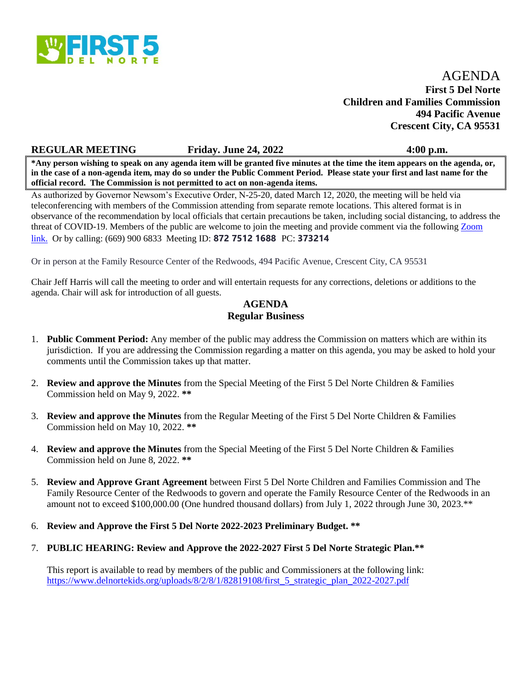

## AGENDA **First 5 Del Norte Children and Families Commission 494 Pacific Avenue Crescent City, CA 95531**

#### **REGULAR MEETING Friday. June 24, 2022 4:00 p.m.**

**\*Any person wishing to speak on any agenda item will be granted five minutes at the time the item appears on the agenda, or, in the case of a non-agenda item, may do so under the Public Comment Period. Please state your first and last name for the official record. The Commission is not permitted to act on non-agenda items.**

As authorized by Governor Newsom's Executive Order, N-25-20, dated March 12, 2020, the meeting will be held via teleconferencing with members of the Commission attending from separate remote locations. This altered format is in observance of the recommendation by local officials that certain precautions be taken, including social distancing, to address the threat of COVID-19. Members of the public are welcome to join the meeting and provide comment via the following [Zoom](https://dnco.zoom.us/j/87275121688?pwd=OG05cG5qQVdUYmFSYmc1YmlmWXFZZz09)  [link. O](https://dnco.zoom.us/j/87275121688?pwd=OG05cG5qQVdUYmFSYmc1YmlmWXFZZz09)r by calling: (669) 900 6833 Meeting ID: **872 7512 1688** PC: **373214**

Or in person at the Family Resource Center of the Redwoods, 494 Pacific Avenue, Crescent City, CA 95531

Chair Jeff Harris will call the meeting to order and will entertain requests for any corrections, deletions or additions to the agenda. Chair will ask for introduction of all guests.

### **AGENDA Regular Business**

- 1. **Public Comment Period:** Any member of the public may address the Commission on matters which are within its jurisdiction. If you are addressing the Commission regarding a matter on this agenda, you may be asked to hold your comments until the Commission takes up that matter.
- 2. **Review and approve the Minutes** from the Special Meeting of the First 5 Del Norte Children & Families Commission held on May 9, 2022. **\*\***
- 3. **Review and approve the Minutes** from the Regular Meeting of the First 5 Del Norte Children & Families Commission held on May 10, 2022. **\*\***
- 4. **Review and approve the Minutes** from the Special Meeting of the First 5 Del Norte Children & Families Commission held on June 8, 2022. **\*\***
- 5. **Review and Approve Grant Agreement** between First 5 Del Norte Children and Families Commission and The Family Resource Center of the Redwoods to govern and operate the Family Resource Center of the Redwoods in an amount not to exceed \$100,000.00 (One hundred thousand dollars) from July 1, 2022 through June 30, 2023.\*\*
- 6. **Review and Approve the First 5 Del Norte 2022-2023 Preliminary Budget. \*\***
- 7. **PUBLIC HEARING: Review and Approve the 2022-2027 First 5 Del Norte Strategic Plan.\*\***

This report is available to read by members of the public and Commissioners at the following link: [https://www.delnortekids.org/uploads/8/2/8/1/82819108/first\\_5\\_strategic\\_plan\\_2022-2027.pdf](https://www.delnortekids.org/uploads/8/2/8/1/82819108/first_5_strategic_plan_2022-2027.pdf)